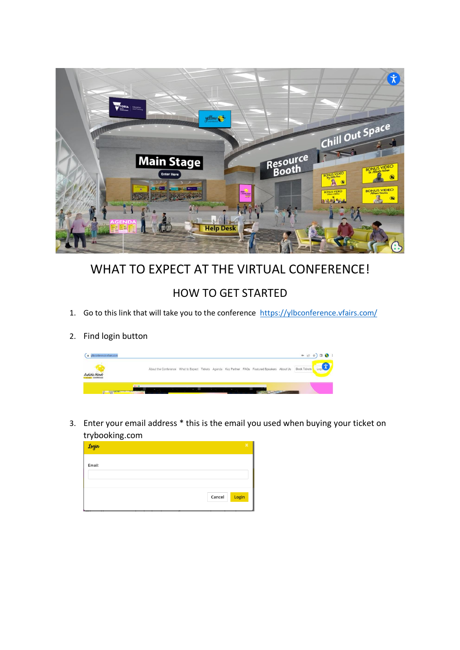

## WHAT TO EXPECT AT THE VIRTUAL CONFERENCE!

## HOW TO GET STARTED

- 1. Go to this link that will take you to the conference<https://ylbconference.vfairs.com/>
- 2. Find login button

| ylbconference.vfairs.com                        |                                                                                                |  |  |  |              | $\bullet\hspace{0.1cm} \circ\hspace{0.1cm} \circ\hspace{0.1cm} \bullet\hspace{0.1cm}\; \bullet\hspace{0.1cm}\; \bullet\hspace{0.1cm}\bullet\hspace{0.1cm}\; \bullet\hspace{0.1cm}\; \bullet\hspace{0.1cm}\; \bullet\hspace{0.1cm}\; \bullet\hspace{0.1cm}\; \bullet\hspace{0.1cm}\; \bullet\hspace{0.1cm}\; \bullet\hspace{0.1cm}\; \bullet\hspace{0.1cm}\; \bullet\hspace{0.1cm}\; \bullet\hspace{0.1cm}\; \bullet\hspace{0.1cm}\; \bullet\hspace{0.1$ |  |
|-------------------------------------------------|------------------------------------------------------------------------------------------------|--|--|--|--------------|---------------------------------------------------------------------------------------------------------------------------------------------------------------------------------------------------------------------------------------------------------------------------------------------------------------------------------------------------------------------------------------------------------------------------------------------------------|--|
| Autistic Minds<br><b><i>URIL CONTESTNOS</i></b> | About the Conference What to Expect Tickets Agenda Key Partner FAQs Featured Speakers About Us |  |  |  | Book Tickets |                                                                                                                                                                                                                                                                                                                                                                                                                                                         |  |
|                                                 |                                                                                                |  |  |  |              |                                                                                                                                                                                                                                                                                                                                                                                                                                                         |  |

3. Enter your email address \* this is the email you used when buying your ticket on trybooking.com

| Login  | $\sim$ |  |        |       |
|--------|--------|--|--------|-------|
| Email: |        |  |        |       |
|        |        |  |        |       |
|        |        |  |        |       |
|        |        |  | Cancel | Login |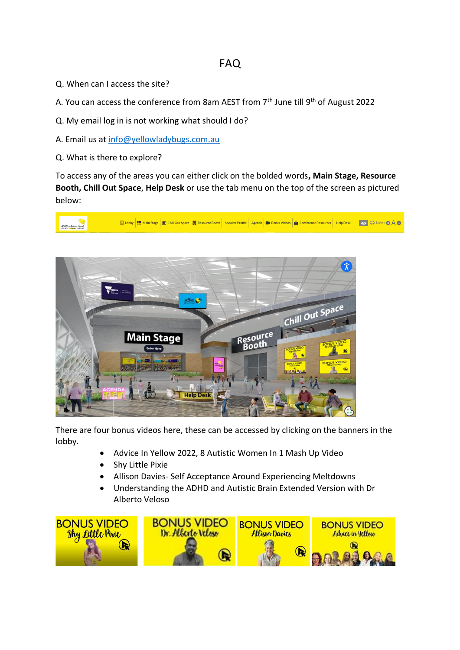## FAQ

- Q. When can I access the site?
- A. You can access the conference from 8am AEST from 7<sup>th</sup> June till 9<sup>th</sup> of August 2022
- Q. My email log in is not working what should I do?
- A. Email us at [info@yellowladybugs.com.au](mailto:info@yellowladybugs.com.au)
- Q. What is there to explore?

To access any of the areas you can either click on the bolded words**, Main Stage, Resource Booth, Chill Out Space**, **Help Desk** or use the tab menu on the top of the screen as pictured below:





There are four bonus videos here, these can be accessed by clicking on the banners in the lobby.

- Advice In Yellow 2022, 8 Autistic Women In 1 Mash Up Video
- Shy Little Pixie
- Allison Davies- Self Acceptance Around Experiencing Meltdowns
- Understanding the ADHD and Autistic Brain Extended Version with Dr Alberto Veloso

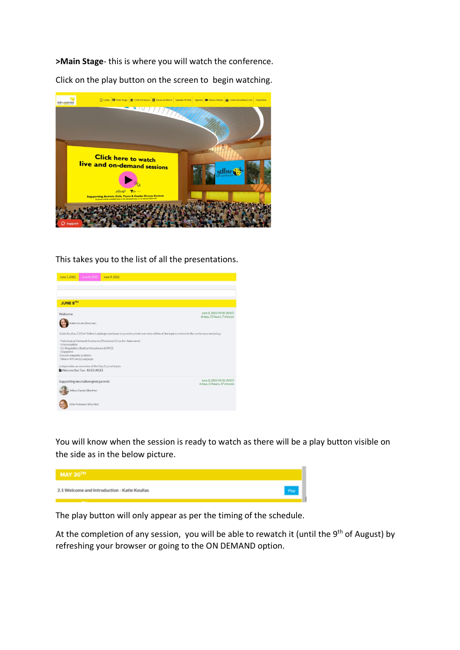**>Main Stage**- this is where you will watch the conference.

Click on the play button on the screen to begin watching.



This takes you to the list of all the presentations.



You will know when the session is ready to watch as there will be a play button visible on the side as in the below picture.



The play button will only appear as per the timing of the schedule.

At the completion of any session, you will be able to rewatch it (until the 9<sup>th</sup> of August) by refreshing your browser or going to the ON DEMAND option.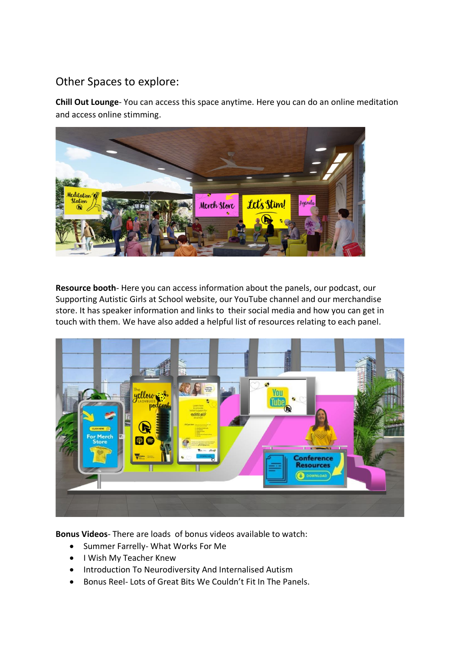## Other Spaces to explore:

**Chill Out Lounge**- You can access this space anytime. Here you can do an online meditation and access online stimming.



**Resource booth**- Here you can access information about the panels, our podcast, our Supporting Autistic Girls at School website, our YouTube channel and our merchandise store. It has speaker information and links to their social media and how you can get in touch with them. We have also added a helpful list of resources relating to each panel.



**Bonus Videos**- There are loads of bonus videos available to watch:

- Summer Farrelly- What Works For Me
- I Wish My Teacher Knew
- Introduction To Neurodiversity And Internalised Autism
- Bonus Reel- Lots of Great Bits We Couldn't Fit In The Panels.